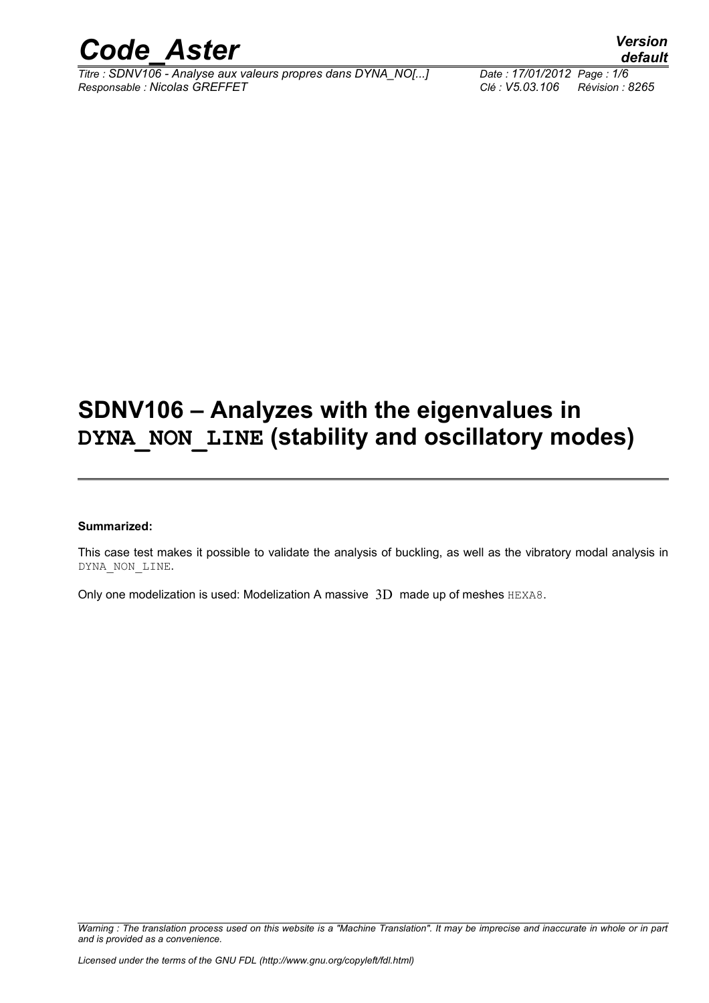

## **SDNV106 – Analyzes with the eigenvalues in DYNA\_NON\_LINE (stability and oscillatory modes)**

#### **Summarized:**

This case test makes it possible to validate the analysis of buckling, as well as the vibratory modal analysis in DYNA\_NON\_LINE.

Only one modelization is used: Modelization A massive 3D made up of meshes HEXA8.

*Warning : The translation process used on this website is a "Machine Translation". It may be imprecise and inaccurate in whole or in part and is provided as a convenience.*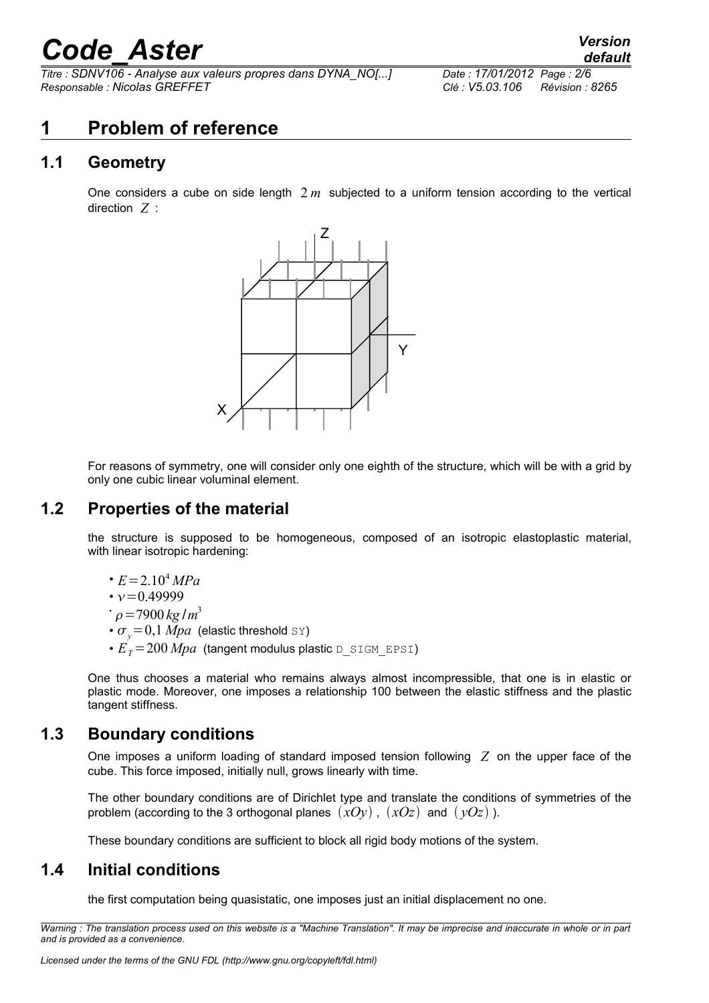*Titre : SDNV106 - Analyse aux valeurs propres dans DYNA\_NO[...] Responsable : Nicolas GREFFET Clé : V5.03.106 Révision : 8265*

*default*

## **1 Problem of reference**

#### **1.1 Geometry**

One considers a cube on side length 2 *m* subjected to a uniform tension according to the vertical direction *Z* :



For reasons of symmetry, one will consider only one eighth of the structure, which will be with a grid by only one cubic linear voluminal element.

#### **1.2 Properties of the material**

the structure is supposed to be homogeneous, composed of an isotropic elastoplastic material, with linear isotropic hardening:

 $\cdot E = 2.10^4 MPa$ 

$$
\bullet \nu = 0.49999
$$

$$
\dot{\rho} = 7900 \,\mathrm{kg/m^3}
$$

- $\sigma_y$ =0,1 *Mpa* (elastic threshold sx)
- $E_{\textit{T}}\text{=}200\textit{Mpa}$  (tangent modulus plastic  $\tt D\_SIGM\_EPSI)$

One thus chooses a material who remains always almost incompressible, that one is in elastic or plastic mode. Moreover, one imposes a relationship 100 between the elastic stiffness and the plastic tangent stiffness.

#### **1.3 Boundary conditions**

One imposes a uniform loading of standard imposed tension following *Z* on the upper face of the cube. This force imposed, initially null, grows linearly with time.

The other boundary conditions are of Dirichlet type and translate the conditions of symmetries of the problem (according to the 3 orthogonal planes  $(xOy)$ ,  $(xOz)$  and  $(yOz)$ ).

These boundary conditions are sufficient to block all rigid body motions of the system.

#### **1.4 Initial conditions**

the first computation being quasistatic, one imposes just an initial displacement no one.

*Warning : The translation process used on this website is a "Machine Translation". It may be imprecise and inaccurate in whole or in part and is provided as a convenience.*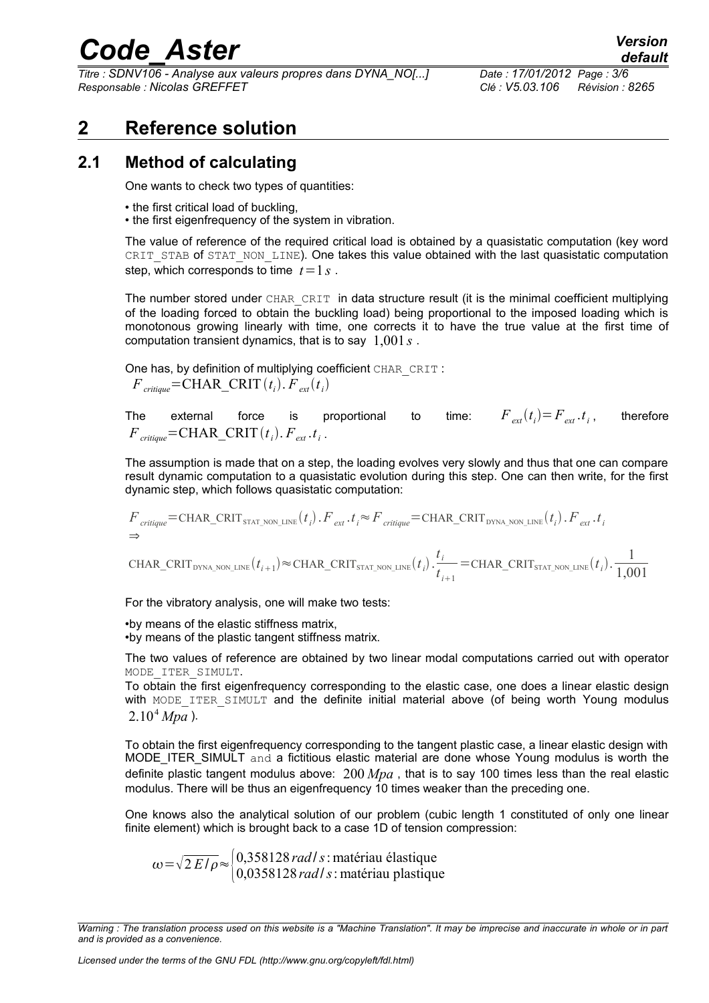*Titre : SDNV106 - Analyse aux valeurs propres dans DYNA\_NO[...] Responsable : Nicolas GREFFET Clé : V5.03.106 Révision : 8265*

*default*<br>*Date : 17/01/2012 Page : 3/6* 

## **2 Reference solution**

#### **2.1 Method of calculating**

One wants to check two types of quantities:

- the first critical load of buckling.
- the first eigenfrequency of the system in vibration.

The value of reference of the required critical load is obtained by a quasistatic computation (key word CRIT\_STAB of STAT\_NON\_LINE). One takes this value obtained with the last quasistatic computation step, which corresponds to time  $t=1$  s.

The number stored under CHAR\_CRIT in data structure result (it is the minimal coefficient multiplying of the loading forced to obtain the buckling load) being proportional to the imposed loading which is monotonous growing linearly with time, one corrects it to have the true value at the first time of computation transient dynamics, that is to say 1,001 *s* .

One has, by definition of multiplying coefficient CHAR\_CRIT :  $F_{\text{critique}} = \text{CHAR\_CRIT}(t_i)$ .  $F_{\text{ext}}(t_i)$ 

The external force is proportional to  $F_{ext}$ .*t*<sub>*i*</sub> , therefore  $F_{\text{critique}} = \text{CHAR\_CRIT}(t_i)$ .  $F_{\text{ext}}$ .  $t_i$ .

The assumption is made that on a step, the loading evolves very slowly and thus that one can compare result dynamic computation to a quasistatic evolution during this step. One can then write, for the first dynamic step, which follows quasistatic computation:

$$
F_{\text{critique}} = \text{CHAR\_CRIT}_{\text{STAT\_NON\_LINE}}(t_i) \cdot F_{\text{ext}} \cdot t_i \approx F_{\text{critique}} = \text{CHAR\_CRIT}_{\text{DYNA\_NON\_LINE}}(t_i) \cdot F_{\text{ext}} \cdot t_i
$$
  
\n
$$
\Rightarrow
$$

 $\text{CHAR\_CRIT}_{\text{DYNA\_NON\_LINE}}(t_{i+1}) \approx \text{CHAR\_CRIT}_{\text{STAT\_NON\_LINE}}(t_i) \cdot \frac{t_i}{t_i}$  $t_{i+1}$  $=$ CHAR\_CRIT<sub>STAT\_NON\_LINE</sub> $(t_i)$ .  $\frac{1}{1.00}$ 1,001

For the vibratory analysis, one will make two tests:

•by means of the elastic stiffness matrix, •by means of the plastic tangent stiffness matrix.

The two values of reference are obtained by two linear modal computations carried out with operator MODE\_ITER\_SIMULT.

To obtain the first eigenfrequency corresponding to the elastic case, one does a linear elastic design with MODE ITER SIMULT and the definite initial material above (of being worth Young modulus  $2.10<sup>4</sup> Mpa$ ).

To obtain the first eigenfrequency corresponding to the tangent plastic case, a linear elastic design with MODE\_ITER\_SIMULT and a fictitious elastic material are done whose Young modulus is worth the definite plastic tangent modulus above: 200 *Mpa* , that is to say 100 times less than the real elastic modulus. There will be thus an eigenfrequency 10 times weaker than the preceding one.

One knows also the analytical solution of our problem (cubic length 1 constituted of only one linear finite element) which is brought back to a case 1D of tension compression:

 $\omega = \sqrt{2 E/\rho} \approx \begin{cases} 0.358128 \, rad/s : \text{matériau élastique} \\ 0.0358128 \, rad/s : \text{matériau plastiau} \end{cases}$ 0,0358128 *rad*/*s*: matériau plastique

*Warning : The translation process used on this website is a "Machine Translation". It may be imprecise and inaccurate in whole or in part and is provided as a convenience.*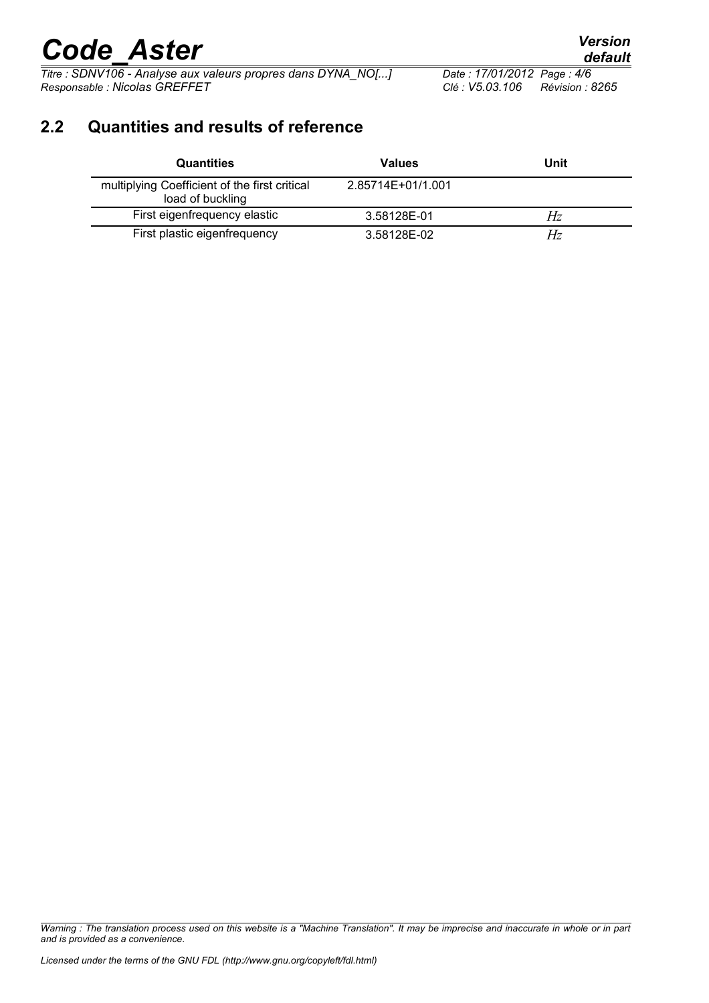*Titre : SDNV106 - Analyse aux valeurs propres dans DYNA\_NO[...] Date : 17/01/201*<br>*Responsable : Nicolas GREFFET Clé : V5.03.106 Responsable : Nicolas GREFFET Clé : V5.03.106 Révision : 8265*

## **2.2 Quantities and results of reference**

| <b>Quantities</b>                                                 | <b>Values</b>     | Unit |
|-------------------------------------------------------------------|-------------------|------|
| multiplying Coefficient of the first critical<br>load of buckling | 2.85714E+01/1.001 |      |
| First eigenfrequency elastic                                      | 3.58128E-01       | Hz   |
| First plastic eigenfrequency                                      | 3.58128E-02       | Hz   |

*Warning : The translation process used on this website is a "Machine Translation". It may be imprecise and inaccurate in whole or in part and is provided as a convenience.*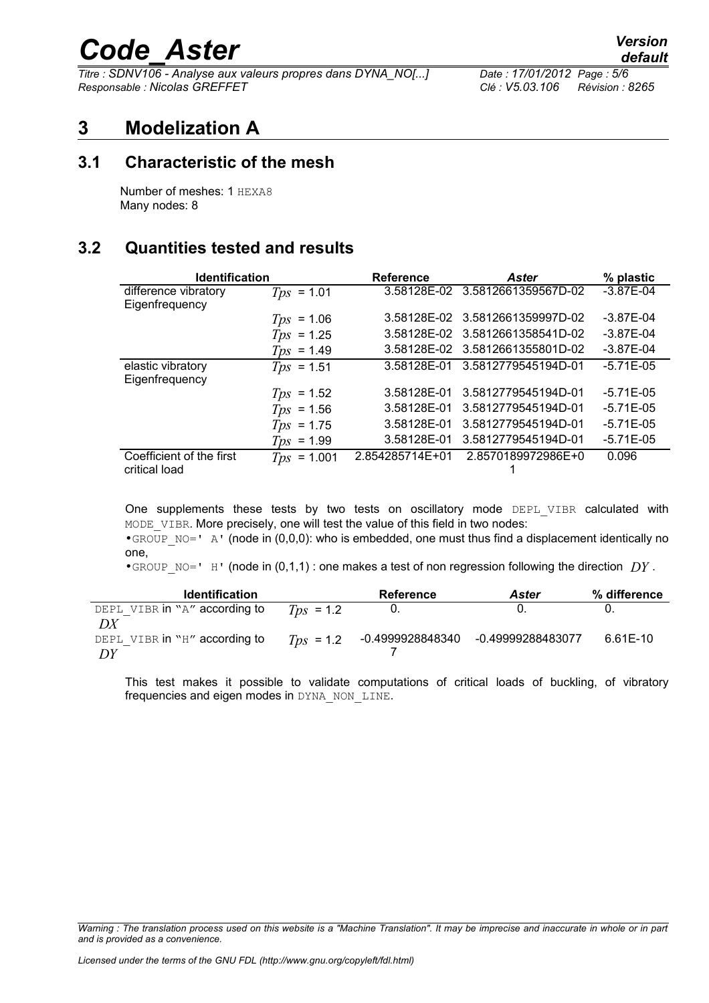*Titre : SDNV106 - Analyse aux valeurs propres dans DYNA\_NO[...] Date : 17/01/2012 Page : 5/6 Responsable : Nicolas GREFFET Clé : V5.03.106 Révision : 8265*

### **3 Modelization A**

#### **3.1 Characteristic of the mesh**

Number of meshes: 1 HEXA8 Many nodes: 8

#### **3.2 Quantities tested and results**

| <b>Identification</b>                     |                     | <b>Reference</b> | <b>Aster</b>                    | % plastic     |
|-------------------------------------------|---------------------|------------------|---------------------------------|---------------|
| difference vibratory<br>Eigenfrequency    | $T_{DS}$ = 1.01     | 3.58128E-02      | 3.5812661359567D-02             | $-3.87E - 04$ |
|                                           | $= 1.06$<br>Tps     |                  | 3.58128E-02 3.5812661359997D-02 | $-3.87E - 04$ |
|                                           | $T_{DS}$ = 1.25     | 3.58128E-02      | 3.5812661358541D-02             | $-3.87E - 04$ |
|                                           | $T_{DS}$ = 1.49     |                  | 3.58128E-02 3.5812661355801D-02 | $-3.87E - 04$ |
| elastic vibratory<br>Eigenfrequency       | $T_{DS}$ = 1.51     | 3.58128E-01      | 3.5812779545194D-01             | $-5.71E-05$   |
|                                           | $T_{DS}$ = 1.52     | 3.58128E-01      | 3.5812779545194D-01             | $-5.71E - 05$ |
|                                           | $T_{DS}$ = 1.56     | 3.58128E-01      | 3.5812779545194D-01             | $-5.71E - 05$ |
|                                           | $= 1.75$<br>Tps     | 3.58128E-01      | 3.5812779545194D-01             | $-5.71E - 05$ |
|                                           | $= 1.99$<br>Tps     | 3.58128E-01      | 3.5812779545194D-01             | $-5.71E - 05$ |
| Coefficient of the first<br>critical load | 1.001<br>Tps<br>$=$ | 2.854285714E+01  | 2.8570189972986E+0              | 0.096         |

One supplements these tests by two tests on oscillatory mode DEPL VIBR calculated with MODE VIBR. More precisely, one will test the value of this field in two nodes:

•GROUP  $NO=$   $N$   $\alpha$  (node in (0,0,0): who is embedded, one must thus find a displacement identically no one,

•GROUP NO=' H' (node in  $(0,1,1)$  : one makes a test of non regression following the direction  $DY$ .

| <b>Identification</b>                     |                | <b>Reference</b> | <b>Aster</b>      | % difference |
|-------------------------------------------|----------------|------------------|-------------------|--------------|
| DEPL VIBR in "A" according to             | $T_{DS}$ = 1.2 |                  |                   |              |
| DX<br>DEPL VIBR in "H" according to<br>DΥ | $T_{DS}$ = 1.2 | -0.4999928848340 | -0.49999288483077 | 6.61E-10     |

This test makes it possible to validate computations of critical loads of buckling, of vibratory frequencies and eigen modes in DYNA\_NON\_LINE.

*Warning : The translation process used on this website is a "Machine Translation". It may be imprecise and inaccurate in whole or in part and is provided as a convenience.*